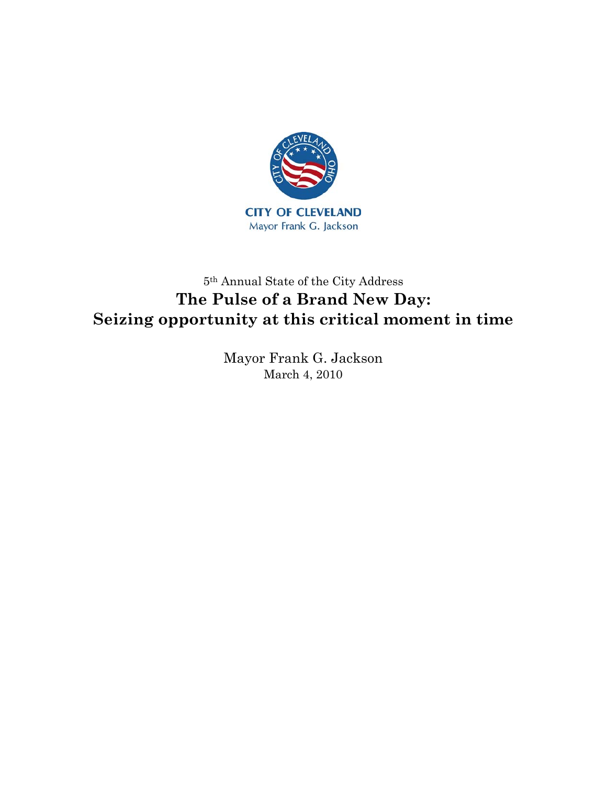

## 5th Annual State of the City Address **The Pulse of a Brand New Day: Seizing opportunity at this critical moment in time**

Mayor Frank G. Jackson March 4, 2010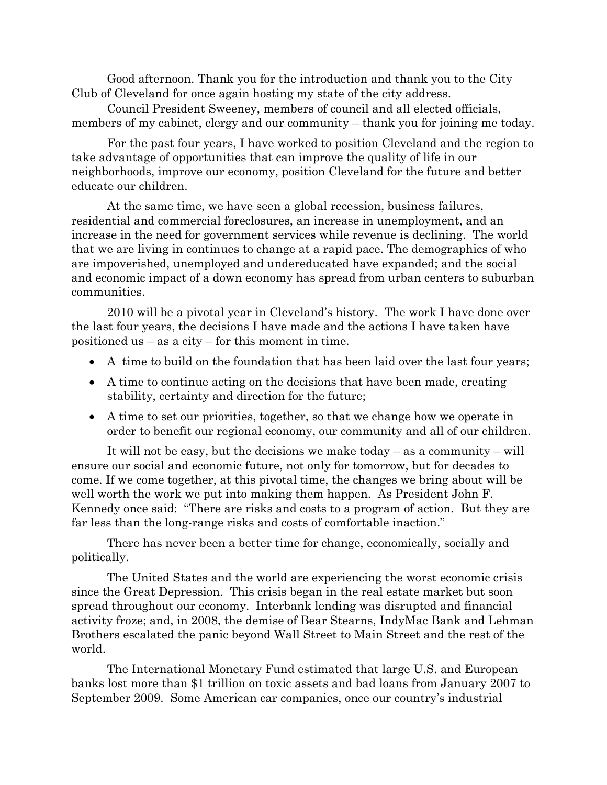Good afternoon. Thank you for the introduction and thank you to the City Club of Cleveland for once again hosting my state of the city address.

Council President Sweeney, members of council and all elected officials, members of my cabinet, clergy and our community – thank you for joining me today.

For the past four years, I have worked to position Cleveland and the region to take advantage of opportunities that can improve the quality of life in our neighborhoods, improve our economy, position Cleveland for the future and better educate our children.

At the same time, we have seen a global recession, business failures, residential and commercial foreclosures, an increase in unemployment, and an increase in the need for government services while revenue is declining. The world that we are living in continues to change at a rapid pace. The demographics of who are impoverished, unemployed and undereducated have expanded; and the social and economic impact of a down economy has spread from urban centers to suburban communities.

2010 will be a pivotal year in Cleveland's history. The work I have done over the last four years, the decisions I have made and the actions I have taken have positioned us – as a city – for this moment in time.

- A time to build on the foundation that has been laid over the last four years;
- A time to continue acting on the decisions that have been made, creating stability, certainty and direction for the future;
- A time to set our priorities, together, so that we change how we operate in order to benefit our regional economy, our community and all of our children.

It will not be easy, but the decisions we make today – as a community – will ensure our social and economic future, not only for tomorrow, but for decades to come. If we come together, at this pivotal time, the changes we bring about will be well worth the work we put into making them happen. As President John F. Kennedy once said: "There are risks and costs to a program of action. But they are far less than the long-range risks and costs of comfortable inaction."

There has never been a better time for change, economically, socially and politically.

The United States and the world are experiencing the worst economic crisis since the Great Depression. This crisis began in the real estate market but soon spread throughout our economy. Interbank lending was disrupted and financial activity froze; and, in 2008, the demise of Bear Stearns, IndyMac Bank and Lehman Brothers escalated the panic beyond Wall Street to Main Street and the rest of the world.

The International Monetary Fund estimated that large U.S. and European banks lost more than \$1 trillion on toxic assets and bad loans from January 2007 to September 2009. Some American car companies, once our country's industrial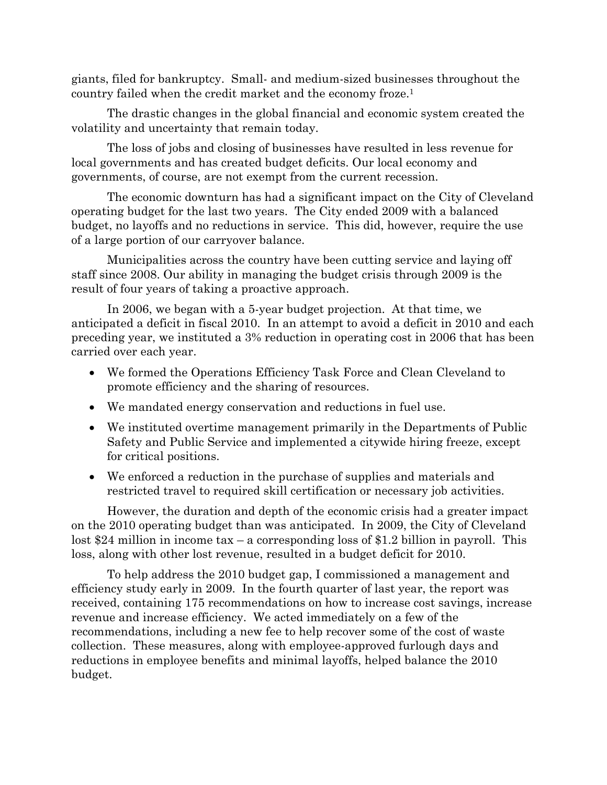giants, filed for bankruptcy. Small- and medium-sized businesses throughout the country failed when the credit market and the economy froze.1

The drastic changes in the global financial and economic system created the volatility and uncertainty that remain today.

The loss of jobs and closing of businesses have resulted in less revenue for local governments and has created budget deficits. Our local economy and governments, of course, are not exempt from the current recession.

The economic downturn has had a significant impact on the City of Cleveland operating budget for the last two years. The City ended 2009 with a balanced budget, no layoffs and no reductions in service. This did, however, require the use of a large portion of our carryover balance.

Municipalities across the country have been cutting service and laying off staff since 2008. Our ability in managing the budget crisis through 2009 is the result of four years of taking a proactive approach.

In 2006, we began with a 5-year budget projection. At that time, we anticipated a deficit in fiscal 2010. In an attempt to avoid a deficit in 2010 and each preceding year, we instituted a 3% reduction in operating cost in 2006 that has been carried over each year.

- We formed the Operations Efficiency Task Force and Clean Cleveland to promote efficiency and the sharing of resources.
- We mandated energy conservation and reductions in fuel use.
- We instituted overtime management primarily in the Departments of Public Safety and Public Service and implemented a citywide hiring freeze, except for critical positions.
- We enforced a reduction in the purchase of supplies and materials and restricted travel to required skill certification or necessary job activities.

However, the duration and depth of the economic crisis had a greater impact on the 2010 operating budget than was anticipated. In 2009, the City of Cleveland lost \$24 million in income tax – a corresponding loss of \$1.2 billion in payroll. This loss, along with other lost revenue, resulted in a budget deficit for 2010.

To help address the 2010 budget gap, I commissioned a management and efficiency study early in 2009. In the fourth quarter of last year, the report was received, containing 175 recommendations on how to increase cost savings, increase revenue and increase efficiency. We acted immediately on a few of the recommendations, including a new fee to help recover some of the cost of waste collection. These measures, along with employee-approved furlough days and reductions in employee benefits and minimal layoffs, helped balance the 2010 budget.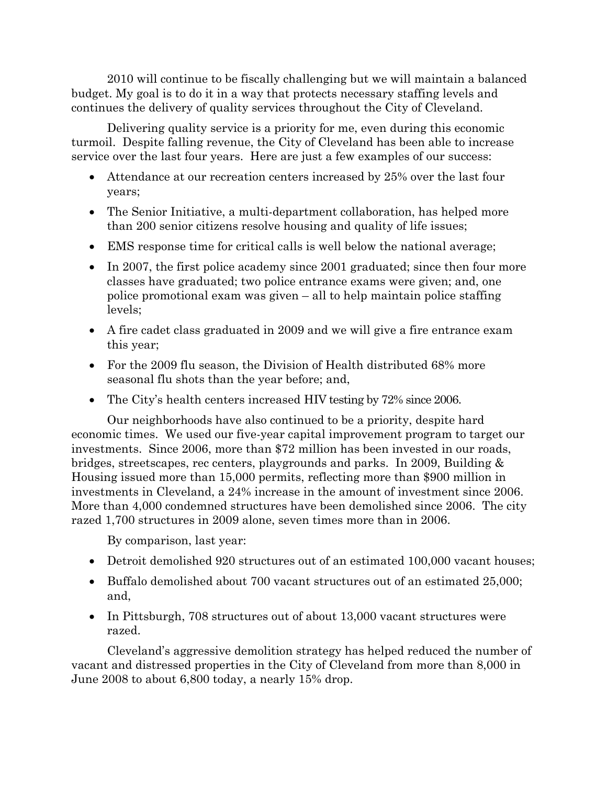2010 will continue to be fiscally challenging but we will maintain a balanced budget. My goal is to do it in a way that protects necessary staffing levels and continues the delivery of quality services throughout the City of Cleveland.

Delivering quality service is a priority for me, even during this economic turmoil. Despite falling revenue, the City of Cleveland has been able to increase service over the last four years. Here are just a few examples of our success:

- Attendance at our recreation centers increased by 25% over the last four years;
- The Senior Initiative, a multi-department collaboration, has helped more than 200 senior citizens resolve housing and quality of life issues;
- EMS response time for critical calls is well below the national average;
- In 2007, the first police academy since 2001 graduated; since then four more classes have graduated; two police entrance exams were given; and, one police promotional exam was given – all to help maintain police staffing levels;
- A fire cadet class graduated in 2009 and we will give a fire entrance exam this year;
- For the 2009 flu season, the Division of Health distributed 68% more seasonal flu shots than the year before; and,
- The City's health centers increased HIV testing by 72% since 2006.

Our neighborhoods have also continued to be a priority, despite hard economic times. We used our five-year capital improvement program to target our investments. Since 2006, more than \$72 million has been invested in our roads, bridges, streetscapes, rec centers, playgrounds and parks. In 2009, Building & Housing issued more than 15,000 permits, reflecting more than \$900 million in investments in Cleveland, a 24% increase in the amount of investment since 2006. More than 4,000 condemned structures have been demolished since 2006. The city razed 1,700 structures in 2009 alone, seven times more than in 2006.

By comparison, last year:

- Detroit demolished 920 structures out of an estimated 100,000 vacant houses;
- Buffalo demolished about 700 vacant structures out of an estimated 25,000; and,
- In Pittsburgh, 708 structures out of about 13,000 vacant structures were razed.

Cleveland's aggressive demolition strategy has helped reduced the number of vacant and distressed properties in the City of Cleveland from more than 8,000 in June 2008 to about 6,800 today, a nearly 15% drop.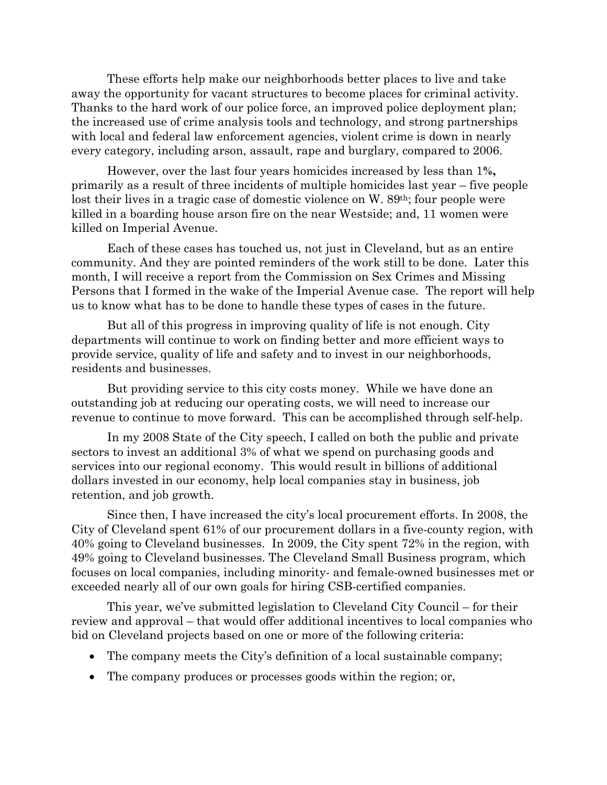These efforts help make our neighborhoods better places to live and take away the opportunity for vacant structures to become places for criminal activity. Thanks to the hard work of our police force, an improved police deployment plan; the increased use of crime analysis tools and technology, and strong partnerships with local and federal law enforcement agencies, violent crime is down in nearly every category, including arson, assault, rape and burglary, compared to 2006.

However, over the last four years homicides increased by less than 1**%,**  primarily as a result of three incidents of multiple homicides last year – five people lost their lives in a tragic case of domestic violence on W. 89<sup>th</sup>; four people were killed in a boarding house arson fire on the near Westside; and, 11 women were killed on Imperial Avenue.

Each of these cases has touched us, not just in Cleveland, but as an entire community. And they are pointed reminders of the work still to be done. Later this month, I will receive a report from the Commission on Sex Crimes and Missing Persons that I formed in the wake of the Imperial Avenue case. The report will help us to know what has to be done to handle these types of cases in the future.

But all of this progress in improving quality of life is not enough. City departments will continue to work on finding better and more efficient ways to provide service, quality of life and safety and to invest in our neighborhoods, residents and businesses.

But providing service to this city costs money. While we have done an outstanding job at reducing our operating costs, we will need to increase our revenue to continue to move forward. This can be accomplished through self-help.

In my 2008 State of the City speech, I called on both the public and private sectors to invest an additional 3% of what we spend on purchasing goods and services into our regional economy. This would result in billions of additional dollars invested in our economy, help local companies stay in business, job retention, and job growth.

Since then, I have increased the city's local procurement efforts. In 2008, the City of Cleveland spent 61% of our procurement dollars in a five-county region, with 40% going to Cleveland businesses. In 2009, the City spent 72% in the region, with 49% going to Cleveland businesses. The Cleveland Small Business program, which focuses on local companies, including minority- and female-owned businesses met or exceeded nearly all of our own goals for hiring CSB-certified companies.

This year, we've submitted legislation to Cleveland City Council – for their review and approval – that would offer additional incentives to local companies who bid on Cleveland projects based on one or more of the following criteria:

- The company meets the City's definition of a local sustainable company;
- The company produces or processes goods within the region; or,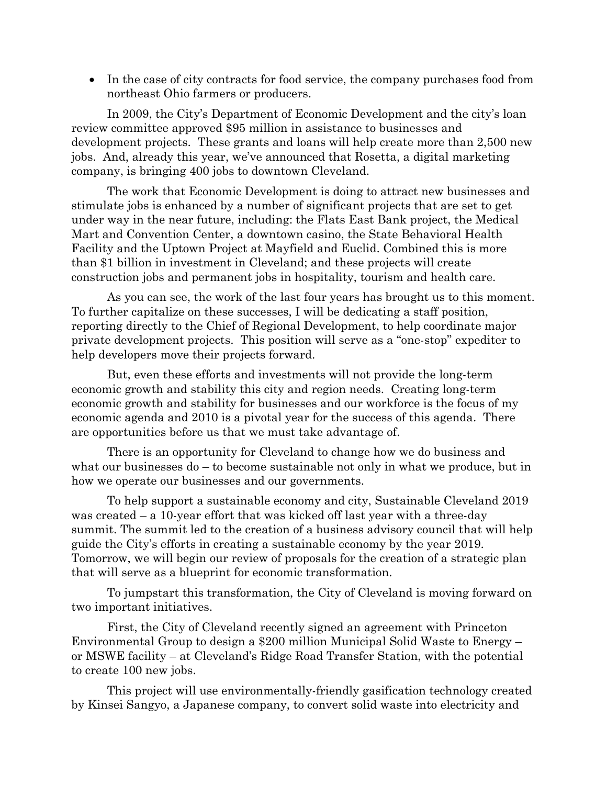• In the case of city contracts for food service, the company purchases food from northeast Ohio farmers or producers.

In 2009, the City's Department of Economic Development and the city's loan review committee approved \$95 million in assistance to businesses and development projects. These grants and loans will help create more than 2,500 new jobs. And, already this year, we've announced that Rosetta, a digital marketing company, is bringing 400 jobs to downtown Cleveland.

The work that Economic Development is doing to attract new businesses and stimulate jobs is enhanced by a number of significant projects that are set to get under way in the near future, including: the Flats East Bank project, the Medical Mart and Convention Center, a downtown casino, the State Behavioral Health Facility and the Uptown Project at Mayfield and Euclid. Combined this is more than \$1 billion in investment in Cleveland; and these projects will create construction jobs and permanent jobs in hospitality, tourism and health care.

As you can see, the work of the last four years has brought us to this moment. To further capitalize on these successes, I will be dedicating a staff position, reporting directly to the Chief of Regional Development, to help coordinate major private development projects. This position will serve as a "one-stop" expediter to help developers move their projects forward.

But, even these efforts and investments will not provide the long-term economic growth and stability this city and region needs. Creating long-term economic growth and stability for businesses and our workforce is the focus of my economic agenda and 2010 is a pivotal year for the success of this agenda. There are opportunities before us that we must take advantage of.

There is an opportunity for Cleveland to change how we do business and what our businesses do – to become sustainable not only in what we produce, but in how we operate our businesses and our governments.

To help support a sustainable economy and city, Sustainable Cleveland 2019 was created – a 10-year effort that was kicked off last year with a three-day summit. The summit led to the creation of a business advisory council that will help guide the City's efforts in creating a sustainable economy by the year 2019. Tomorrow, we will begin our review of proposals for the creation of a strategic plan that will serve as a blueprint for economic transformation.

To jumpstart this transformation, the City of Cleveland is moving forward on two important initiatives.

First, the City of Cleveland recently signed an agreement with Princeton Environmental Group to design a \$200 million Municipal Solid Waste to Energy – or MSWE facility – at Cleveland's Ridge Road Transfer Station, with the potential to create 100 new jobs.

This project will use environmentally-friendly gasification technology created by Kinsei Sangyo, a Japanese company, to convert solid waste into electricity and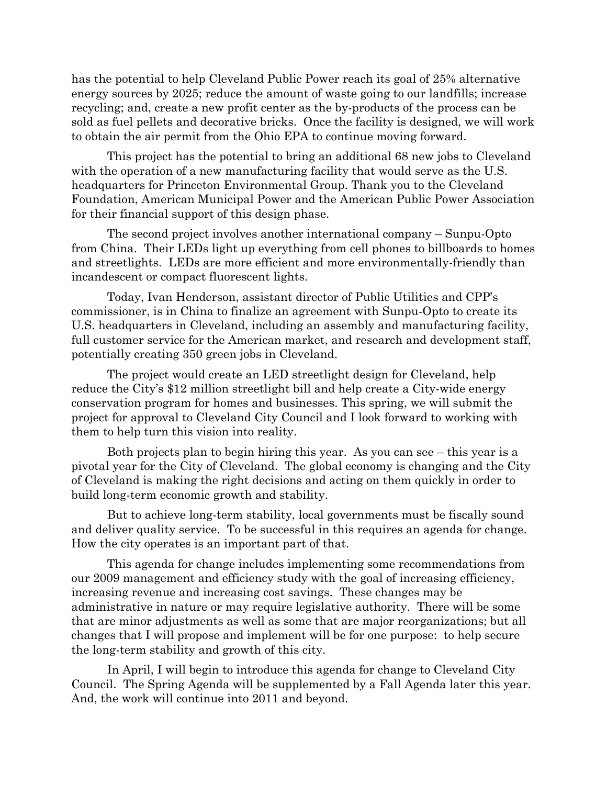has the potential to help Cleveland Public Power reach its goal of 25% alternative energy sources by 2025; reduce the amount of waste going to our landfills; increase recycling; and, create a new profit center as the by-products of the process can be sold as fuel pellets and decorative bricks. Once the facility is designed, we will work to obtain the air permit from the Ohio EPA to continue moving forward.

This project has the potential to bring an additional 68 new jobs to Cleveland with the operation of a new manufacturing facility that would serve as the U.S. headquarters for Princeton Environmental Group. Thank you to the Cleveland Foundation, American Municipal Power and the American Public Power Association for their financial support of this design phase.

The second project involves another international company – Sunpu-Opto from China. Their LEDs light up everything from cell phones to billboards to homes and streetlights. LEDs are more efficient and more environmentally-friendly than incandescent or compact fluorescent lights.

Today, Ivan Henderson, assistant director of Public Utilities and CPP's commissioner, is in China to finalize an agreement with Sunpu-Opto to create its U.S. headquarters in Cleveland, including an assembly and manufacturing facility, full customer service for the American market, and research and development staff, potentially creating 350 green jobs in Cleveland.

The project would create an LED streetlight design for Cleveland, help reduce the City's \$12 million streetlight bill and help create a City-wide energy conservation program for homes and businesses. This spring, we will submit the project for approval to Cleveland City Council and I look forward to working with them to help turn this vision into reality.

Both projects plan to begin hiring this year. As you can see – this year is a pivotal year for the City of Cleveland. The global economy is changing and the City of Cleveland is making the right decisions and acting on them quickly in order to build long-term economic growth and stability.

But to achieve long-term stability, local governments must be fiscally sound and deliver quality service. To be successful in this requires an agenda for change. How the city operates is an important part of that.

This agenda for change includes implementing some recommendations from our 2009 management and efficiency study with the goal of increasing efficiency, increasing revenue and increasing cost savings. These changes may be administrative in nature or may require legislative authority. There will be some that are minor adjustments as well as some that are major reorganizations; but all changes that I will propose and implement will be for one purpose: to help secure the long-term stability and growth of this city.

In April, I will begin to introduce this agenda for change to Cleveland City Council. The Spring Agenda will be supplemented by a Fall Agenda later this year. And, the work will continue into 2011 and beyond.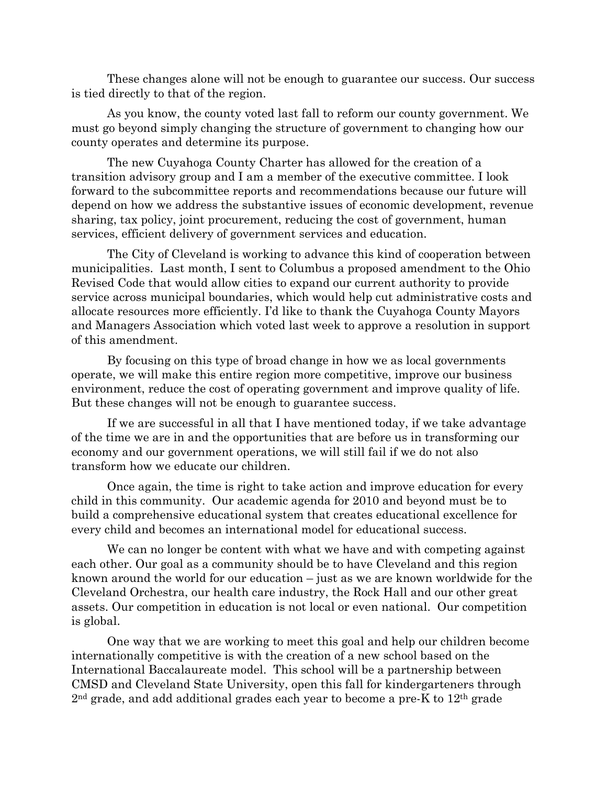These changes alone will not be enough to guarantee our success. Our success is tied directly to that of the region.

As you know, the county voted last fall to reform our county government. We must go beyond simply changing the structure of government to changing how our county operates and determine its purpose.

The new Cuyahoga County Charter has allowed for the creation of a transition advisory group and I am a member of the executive committee. I look forward to the subcommittee reports and recommendations because our future will depend on how we address the substantive issues of economic development, revenue sharing, tax policy, joint procurement, reducing the cost of government, human services, efficient delivery of government services and education.

The City of Cleveland is working to advance this kind of cooperation between municipalities. Last month, I sent to Columbus a proposed amendment to the Ohio Revised Code that would allow cities to expand our current authority to provide service across municipal boundaries, which would help cut administrative costs and allocate resources more efficiently. I'd like to thank the Cuyahoga County Mayors and Managers Association which voted last week to approve a resolution in support of this amendment.

By focusing on this type of broad change in how we as local governments operate, we will make this entire region more competitive, improve our business environment, reduce the cost of operating government and improve quality of life. But these changes will not be enough to guarantee success.

If we are successful in all that I have mentioned today, if we take advantage of the time we are in and the opportunities that are before us in transforming our economy and our government operations, we will still fail if we do not also transform how we educate our children.

Once again, the time is right to take action and improve education for every child in this community. Our academic agenda for 2010 and beyond must be to build a comprehensive educational system that creates educational excellence for every child and becomes an international model for educational success.

We can no longer be content with what we have and with competing against each other. Our goal as a community should be to have Cleveland and this region known around the world for our education – just as we are known worldwide for the Cleveland Orchestra, our health care industry, the Rock Hall and our other great assets. Our competition in education is not local or even national. Our competition is global.

One way that we are working to meet this goal and help our children become internationally competitive is with the creation of a new school based on the International Baccalaureate model. This school will be a partnership between CMSD and Cleveland State University, open this fall for kindergarteners through  $2<sup>nd</sup>$  grade, and add additional grades each year to become a pre-K to  $12<sup>th</sup>$  grade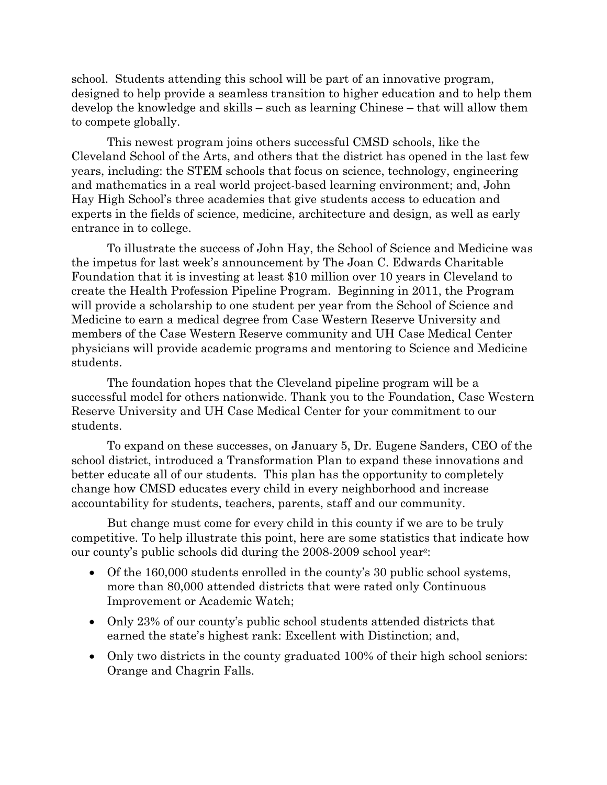school. Students attending this school will be part of an innovative program, designed to help provide a seamless transition to higher education and to help them develop the knowledge and skills – such as learning Chinese – that will allow them to compete globally.

This newest program joins others successful CMSD schools, like the Cleveland School of the Arts, and others that the district has opened in the last few years, including: the STEM schools that focus on science, technology, engineering and mathematics in a real world project-based learning environment; and, John Hay High School's three academies that give students access to education and experts in the fields of science, medicine, architecture and design, as well as early entrance in to college.

To illustrate the success of John Hay, the School of Science and Medicine was the impetus for last week's announcement by The Joan C. Edwards Charitable Foundation that it is investing at least \$10 million over 10 years in Cleveland to create the Health Profession Pipeline Program. Beginning in 2011, the Program will provide a scholarship to one student per year from the School of Science and Medicine to earn a medical degree from Case Western Reserve University and members of the Case Western Reserve community and UH Case Medical Center physicians will provide academic programs and mentoring to Science and Medicine students.

The foundation hopes that the Cleveland pipeline program will be a successful model for others nationwide. Thank you to the Foundation, Case Western Reserve University and UH Case Medical Center for your commitment to our students.

To expand on these successes, on January 5, Dr. Eugene Sanders, CEO of the school district, introduced a Transformation Plan to expand these innovations and better educate all of our students. This plan has the opportunity to completely change how CMSD educates every child in every neighborhood and increase accountability for students, teachers, parents, staff and our community.

But change must come for every child in this county if we are to be truly competitive. To help illustrate this point, here are some statistics that indicate how our county's public schools did during the 2008-2009 school year2:

- Of the 160,000 students enrolled in the county's 30 public school systems, more than 80,000 attended districts that were rated only Continuous Improvement or Academic Watch;
- Only 23% of our county's public school students attended districts that earned the state's highest rank: Excellent with Distinction; and,
- Only two districts in the county graduated 100% of their high school seniors: Orange and Chagrin Falls.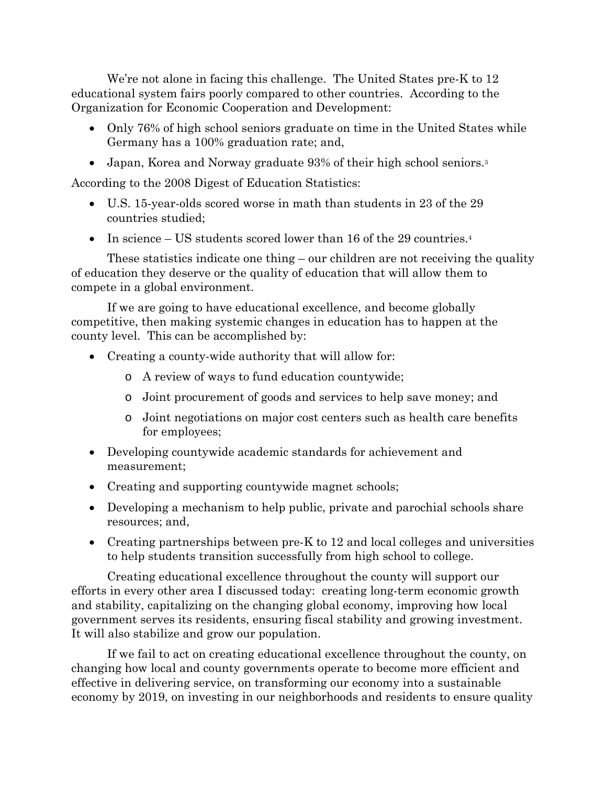We're not alone in facing this challenge. The United States pre-K to 12 educational system fairs poorly compared to other countries. According to the Organization for Economic Cooperation and Development:

- Only 76% of high school seniors graduate on time in the United States while Germany has a 100% graduation rate; and,
- Japan, Korea and Norway graduate 93% of their high school seniors.<sup>3</sup>

According to the 2008 Digest of Education Statistics:

- U.S. 15-year-olds scored worse in math than students in 23 of the 29 countries studied;
- In science US students scored lower than 16 of the 29 countries. $4$

These statistics indicate one thing – our children are not receiving the quality of education they deserve or the quality of education that will allow them to compete in a global environment.

If we are going to have educational excellence, and become globally competitive, then making systemic changes in education has to happen at the county level. This can be accomplished by:

- Creating a county-wide authority that will allow for:
	- o A review of ways to fund education countywide;
	- o Joint procurement of goods and services to help save money; and
	- o Joint negotiations on major cost centers such as health care benefits for employees;
- Developing countywide academic standards for achievement and measurement;
- Creating and supporting countywide magnet schools;
- Developing a mechanism to help public, private and parochial schools share resources; and,
- Creating partnerships between pre-K to 12 and local colleges and universities to help students transition successfully from high school to college.

Creating educational excellence throughout the county will support our efforts in every other area I discussed today: creating long-term economic growth and stability, capitalizing on the changing global economy, improving how local government serves its residents, ensuring fiscal stability and growing investment. It will also stabilize and grow our population.

If we fail to act on creating educational excellence throughout the county, on changing how local and county governments operate to become more efficient and effective in delivering service, on transforming our economy into a sustainable economy by 2019, on investing in our neighborhoods and residents to ensure quality